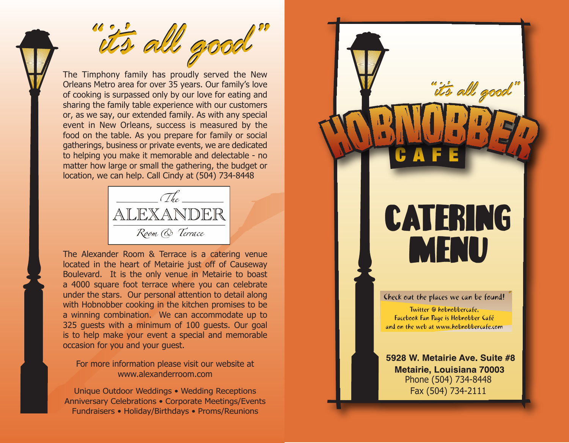it's all good

The Timphony family has proudly served the New Orleans Metro area for over 35 years. Our family's love of cooking is surpassed only by our love for eating and sharing the family table experience with our customers or, as we say, our extended family. As with any special event in New Orleans, success is measured by the food on the table. As you prepare for family or social gatherings, business or private events, we are dedicated to helping you make it memorable and delectable - no matter how large or small the gathering, the budget or location, we can help. Call Cindy at (504) 734-8448



The Alexander Room & Terrace is a catering venue located in the heart of Metairie just off of Causeway Boulevard. It is the only venue in Metairie to boast a 4000 square foot terrace where you can celebrate under the stars. Our personal attention to detail along with Hobnobber cooking in the kitchen promises to be a winning combination. We can accommodate up to 325 guests with a minimum of 100 guests. Our goal is to help make your event a special and memorable occasion for you and your guest.

For more information please visit our website at www.alexanderroom.com

Unique Outdoor Weddings • Wedding Receptions Anniversary Celebrations • Corporate Meetings/Events Fundraisers • Holiday/Birthdays • Proms/Reunions

# CATERING MENU

it's all good

Check out the places we can be found!

Twitter @ hobnobbercafe, Facebook Fan Page is Hobnobber Café and on the web at www.hobnobbercafe.com

5928 W. Metairie Ave. Suite #8 **Metairie, Louisiana 70003** Phone (504) 734-8448 Fax (504) 734-2111